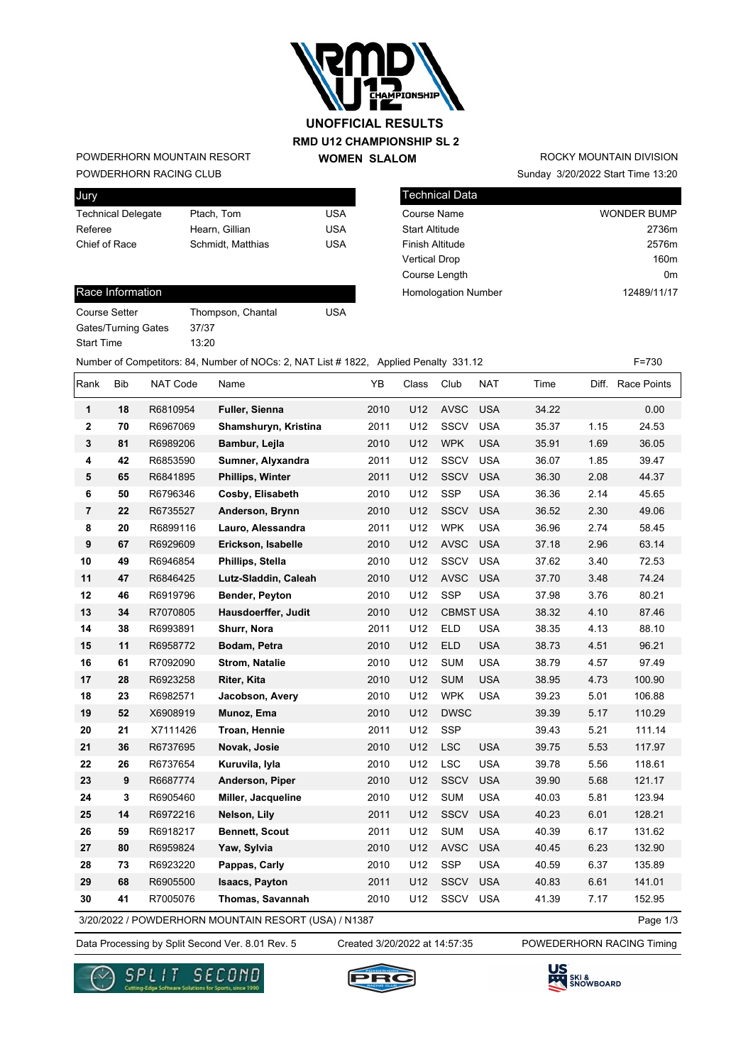

#### **RMD U12 CHAMPIONSHIP SL 2 WOMEN SLALOM UNOFFICIAL RESULTS**

POWDERHORN RACING CLUB POWDERHORN MOUNTAIN RESORT

| Jury                      |                   |     |
|---------------------------|-------------------|-----|
| <b>Technical Delegate</b> | Ptach, Tom        | USA |
| Referee                   | Hearn, Gillian    | USA |
| Chief of Race             | Schmidt, Matthias | USA |

## Sunday 3/20/2022 Start Time 13:20 ROCKY MOUNTAIN DIVISION

| Technical Data             |                    |
|----------------------------|--------------------|
| <b>Course Name</b>         | <b>WONDER BUMP</b> |
| <b>Start Altitude</b>      | 2736m              |
| <b>Finish Altitude</b>     | 2576m              |
| <b>Vertical Drop</b>       | 160m               |
| Course Length              | 0m                 |
| <b>Homologation Number</b> | 12489/11/17        |

#### Race Information

| Course Setter       | Thom  |
|---------------------|-------|
| Gates/Turning Gates | 37/37 |
| <b>Start Time</b>   | 13.20 |

Thompson, Chantal USA  $\text{ates}$  37/37

Number of Competitors: 84, Number of NOCs: 2, NAT List # 1822, Applied Penalty 331.12 F=730

| Rank           | <b>Bib</b> | NAT Code | Name                                                 | YB   | Class | Club             | <b>NAT</b> | Time  |      | Diff. Race Points |
|----------------|------------|----------|------------------------------------------------------|------|-------|------------------|------------|-------|------|-------------------|
| 1              | 18         | R6810954 | Fuller, Sienna                                       | 2010 | U12   | <b>AVSC</b>      | <b>USA</b> | 34.22 |      | 0.00              |
| 2              | 70         | R6967069 | Shamshuryn, Kristina                                 | 2011 | U12   | <b>SSCV</b>      | <b>USA</b> | 35.37 | 1.15 | 24.53             |
| 3              | 81         | R6989206 | Bambur, Lejla                                        | 2010 | U12   | <b>WPK</b>       | <b>USA</b> | 35.91 | 1.69 | 36.05             |
| 4              | 42         | R6853590 | Sumner, Alyxandra                                    | 2011 | U12   | SSCV             | <b>USA</b> | 36.07 | 1.85 | 39.47             |
| 5              | 65         | R6841895 | <b>Phillips, Winter</b>                              | 2011 | U12   | <b>SSCV</b>      | <b>USA</b> | 36.30 | 2.08 | 44.37             |
| 6              | 50         | R6796346 | Cosby, Elisabeth                                     | 2010 | U12   | <b>SSP</b>       | <b>USA</b> | 36.36 | 2.14 | 45.65             |
| $\overline{7}$ | 22         | R6735527 | Anderson, Brynn                                      | 2010 | U12   | <b>SSCV</b>      | <b>USA</b> | 36.52 | 2.30 | 49.06             |
| 8              | 20         | R6899116 | Lauro, Alessandra                                    | 2011 | U12   | <b>WPK</b>       | <b>USA</b> | 36.96 | 2.74 | 58.45             |
| 9              | 67         | R6929609 | Erickson, Isabelle                                   | 2010 | U12   | <b>AVSC</b>      | <b>USA</b> | 37.18 | 2.96 | 63.14             |
| 10             | 49         | R6946854 | Phillips, Stella                                     | 2010 | U12   | <b>SSCV</b>      | <b>USA</b> | 37.62 | 3.40 | 72.53             |
| 11             | 47         | R6846425 | Lutz-Sladdin, Caleah                                 | 2010 | U12   | <b>AVSC</b>      | <b>USA</b> | 37.70 | 3.48 | 74.24             |
| 12             | 46         | R6919796 | Bender, Peyton                                       | 2010 | U12   | SSP              | <b>USA</b> | 37.98 | 3.76 | 80.21             |
| 13             | 34         | R7070805 | Hausdoerffer, Judit                                  | 2010 | U12   | <b>CBMST USA</b> |            | 38.32 | 4.10 | 87.46             |
| 14             | 38         | R6993891 | Shurr, Nora                                          | 2011 | U12   | <b>ELD</b>       | <b>USA</b> | 38.35 | 4.13 | 88.10             |
| 15             | 11         | R6958772 | Bodam, Petra                                         | 2010 | U12   | <b>ELD</b>       | <b>USA</b> | 38.73 | 4.51 | 96.21             |
| 16             | 61         | R7092090 | <b>Strom, Natalie</b>                                | 2010 | U12   | <b>SUM</b>       | <b>USA</b> | 38.79 | 4.57 | 97.49             |
| 17             | 28         | R6923258 | Riter, Kita                                          | 2010 | U12   | <b>SUM</b>       | <b>USA</b> | 38.95 | 4.73 | 100.90            |
| 18             | 23         | R6982571 | Jacobson, Avery                                      | 2010 | U12   | <b>WPK</b>       | <b>USA</b> | 39.23 | 5.01 | 106.88            |
| 19             | 52         | X6908919 | Munoz, Ema                                           | 2010 | U12   | <b>DWSC</b>      |            | 39.39 | 5.17 | 110.29            |
| 20             | 21         | X7111426 | Troan, Hennie                                        | 2011 | U12   | <b>SSP</b>       |            | 39.43 | 5.21 | 111.14            |
| 21             | 36         | R6737695 | Novak, Josie                                         | 2010 | U12   | <b>LSC</b>       | <b>USA</b> | 39.75 | 5.53 | 117.97            |
| 22             | 26         | R6737654 | Kuruvila, Iyla                                       | 2010 | U12   | <b>LSC</b>       | <b>USA</b> | 39.78 | 5.56 | 118.61            |
| 23             | 9          | R6687774 | Anderson, Piper                                      | 2010 | U12   | <b>SSCV</b>      | <b>USA</b> | 39.90 | 5.68 | 121.17            |
| 24             | 3          | R6905460 | Miller, Jacqueline                                   | 2010 | U12   | <b>SUM</b>       | <b>USA</b> | 40.03 | 5.81 | 123.94            |
| 25             | 14         | R6972216 | Nelson, Lily                                         | 2011 | U12   | <b>SSCV</b>      | <b>USA</b> | 40.23 | 6.01 | 128.21            |
| 26             | 59         | R6918217 | <b>Bennett, Scout</b>                                | 2011 | U12   | <b>SUM</b>       | <b>USA</b> | 40.39 | 6.17 | 131.62            |
| 27             | 80         | R6959824 | Yaw, Sylvia                                          | 2010 | U12   | <b>AVSC</b>      | <b>USA</b> | 40.45 | 6.23 | 132.90            |
| 28             | 73         | R6923220 | Pappas, Carly                                        | 2010 | U12   | <b>SSP</b>       | <b>USA</b> | 40.59 | 6.37 | 135.89            |
| 29             | 68         | R6905500 | <b>Isaacs, Payton</b>                                | 2011 | U12   | <b>SSCV</b>      | <b>USA</b> | 40.83 | 6.61 | 141.01            |
| 30             | 41         | R7005076 | Thomas, Savannah                                     | 2010 | U12   | SSCV             | <b>USA</b> | 41.39 | 7.17 | 152.95            |
|                |            |          | 3/20/2022 / POWDERHORN MOUNTAIN RESORT (USA) / N1387 |      |       |                  |            |       |      | Page 1/3          |

3/20/2022 / POWDERHORN MOUNTAIN RESORT (USA) / N1387



Created 3/20/2022 at 14:57:35





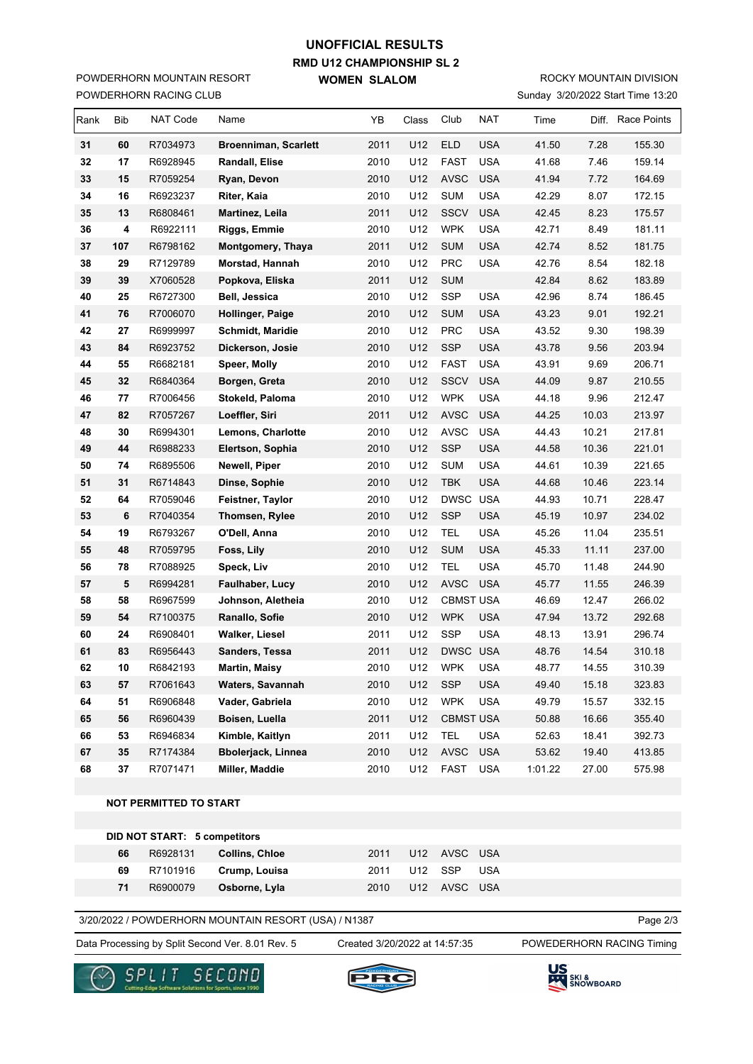### **RMD U12 CHAMPIONSHIP SL 2 WOMEN SLALOM UNOFFICIAL RESULTS**

POWDERHORN RACING CLUB POWDERHORN MOUNTAIN RESORT

# ROCKY MOUNTAIN DIVISION

| Sunday 3/20/2022 Start Time 13:20 |
|-----------------------------------|
|                                   |

| Rank | Bib | <b>NAT Code</b> | Name                        | YΒ   | Class | Club             | <b>NAT</b> | Time    |       | Diff. Race Points |
|------|-----|-----------------|-----------------------------|------|-------|------------------|------------|---------|-------|-------------------|
| 31   | 60  | R7034973        | <b>Broenniman, Scarlett</b> | 2011 | U12   | <b>ELD</b>       | <b>USA</b> | 41.50   | 7.28  | 155.30            |
| 32   | 17  | R6928945        | Randall, Elise              | 2010 | U12   | <b>FAST</b>      | <b>USA</b> | 41.68   | 7.46  | 159.14            |
| 33   | 15  | R7059254        | Ryan, Devon                 | 2010 | U12   | <b>AVSC</b>      | <b>USA</b> | 41.94   | 7.72  | 164.69            |
| 34   | 16  | R6923237        | Riter, Kaia                 | 2010 | U12   | <b>SUM</b>       | <b>USA</b> | 42.29   | 8.07  | 172.15            |
| 35   | 13  | R6808461        | Martinez, Leila             | 2011 | U12   | <b>SSCV</b>      | <b>USA</b> | 42.45   | 8.23  | 175.57            |
| 36   | 4   | R6922111        | Riggs, Emmie                | 2010 | U12   | <b>WPK</b>       | <b>USA</b> | 42.71   | 8.49  | 181.11            |
| 37   | 107 | R6798162        | Montgomery, Thaya           | 2011 | U12   | <b>SUM</b>       | <b>USA</b> | 42.74   | 8.52  | 181.75            |
| 38   | 29  | R7129789        | Morstad, Hannah             | 2010 | U12   | PRC              | <b>USA</b> | 42.76   | 8.54  | 182.18            |
| 39   | 39  | X7060528        | Popkova, Eliska             | 2011 | U12   | <b>SUM</b>       |            | 42.84   | 8.62  | 183.89            |
| 40   | 25  | R6727300        | Bell, Jessica               | 2010 | U12   | SSP              | <b>USA</b> | 42.96   | 8.74  | 186.45            |
| 41   | 76  | R7006070        | Hollinger, Paige            | 2010 | U12   | <b>SUM</b>       | <b>USA</b> | 43.23   | 9.01  | 192.21            |
| 42   | 27  | R6999997        | Schmidt, Maridie            | 2010 | U12   | <b>PRC</b>       | <b>USA</b> | 43.52   | 9.30  | 198.39            |
| 43   | 84  | R6923752        | Dickerson, Josie            | 2010 | U12   | <b>SSP</b>       | <b>USA</b> | 43.78   | 9.56  | 203.94            |
| 44   | 55  | R6682181        | Speer, Molly                | 2010 | U12   | <b>FAST</b>      | <b>USA</b> | 43.91   | 9.69  | 206.71            |
| 45   | 32  | R6840364        | Borgen, Greta               | 2010 | U12   | <b>SSCV</b>      | <b>USA</b> | 44.09   | 9.87  | 210.55            |
| 46   | 77  | R7006456        | Stokeld, Paloma             | 2010 | U12   | <b>WPK</b>       | <b>USA</b> | 44.18   | 9.96  | 212.47            |
| 47   | 82  | R7057267        | Loeffler, Siri              | 2011 | U12   | <b>AVSC</b>      | <b>USA</b> | 44.25   | 10.03 | 213.97            |
| 48   | 30  | R6994301        | <b>Lemons, Charlotte</b>    | 2010 | U12   | <b>AVSC</b>      | <b>USA</b> | 44.43   | 10.21 | 217.81            |
| 49   | 44  | R6988233        | Elertson, Sophia            | 2010 | U12   | <b>SSP</b>       | <b>USA</b> | 44.58   | 10.36 | 221.01            |
| 50   | 74  | R6895506        | Newell, Piper               | 2010 | U12   | <b>SUM</b>       | <b>USA</b> | 44.61   | 10.39 | 221.65            |
| 51   | 31  | R6714843        | Dinse, Sophie               | 2010 | U12   | <b>TBK</b>       | <b>USA</b> | 44.68   | 10.46 | 223.14            |
| 52   | 64  | R7059046        | Feistner, Taylor            | 2010 | U12   | <b>DWSC</b>      | <b>USA</b> | 44.93   | 10.71 | 228.47            |
| 53   | 6   | R7040354        | Thomsen, Rylee              | 2010 | U12   | <b>SSP</b>       | <b>USA</b> | 45.19   | 10.97 | 234.02            |
| 54   | 19  | R6793267        | O'Dell, Anna                | 2010 | U12   | <b>TEL</b>       | <b>USA</b> | 45.26   | 11.04 | 235.51            |
| 55   | 48  | R7059795        | Foss, Lily                  | 2010 | U12   | <b>SUM</b>       | <b>USA</b> | 45.33   | 11.11 | 237.00            |
| 56   | 78  | R7088925        | Speck, Liv                  | 2010 | U12   | <b>TEL</b>       | <b>USA</b> | 45.70   | 11.48 | 244.90            |
| 57   | 5   | R6994281        | Faulhaber, Lucy             | 2010 | U12   | <b>AVSC</b>      | <b>USA</b> | 45.77   | 11.55 | 246.39            |
| 58   | 58  | R6967599        | Johnson, Aletheia           | 2010 | U12   | <b>CBMST USA</b> |            | 46.69   | 12.47 | 266.02            |
| 59   | 54  | R7100375        | Ranallo, Sofie              | 2010 | U12   | <b>WPK</b>       | <b>USA</b> | 47.94   | 13.72 | 292.68            |
| 60   | 24  | R6908401        | Walker, Liesel              | 2011 | U12   | <b>SSP</b>       | <b>USA</b> | 48.13   | 13.91 | 296.74            |
| 61   | 83  | R6956443        | Sanders, Tessa              | 2011 | U12   | DWSC USA         |            | 48.76   | 14.54 | 310.18            |
| 62   | 10  | R6842193        | Martin, Maisy               | 2010 | U12   | <b>WPK</b>       | <b>USA</b> | 48.77   | 14.55 | 310.39            |
| 63   | 57  | R7061643        | <b>Waters, Savannah</b>     | 2010 | U12   | <b>SSP</b>       | <b>USA</b> | 49.40   | 15.18 | 323.83            |
| 64   | 51  | R6906848        | Vader, Gabriela             | 2010 | U12   | <b>WPK</b>       | <b>USA</b> | 49.79   | 15.57 | 332.15            |
| 65   | 56  | R6960439        | Boisen, Luella              | 2011 | U12   | <b>CBMST USA</b> |            | 50.88   | 16.66 | 355.40            |
| 66   | 53  | R6946834        | Kimble, Kaitlyn             | 2011 | U12   | <b>TEL</b>       | <b>USA</b> | 52.63   | 18.41 | 392.73            |
| 67   | 35  | R7174384        | Bbolerjack, Linnea          | 2010 | U12   | AVSC             | <b>USA</b> | 53.62   | 19.40 | 413.85            |
| 68   | 37  | R7071471        | Miller, Maddie              | 2010 | U12   | <b>FAST</b>      | <b>USA</b> | 1:01.22 | 27.00 | 575.98            |

#### **NOT PERMITTED TO START**

|    |    | DID NOT START: 5 competitors |                |      |                  |  |
|----|----|------------------------------|----------------|------|------------------|--|
|    | 66 | R6928131                     | Collins, Chloe | 2011 | U12 AVSC USA     |  |
|    | 69 | R7101916                     | Crump, Louisa  |      | 2011 U12 SSP USA |  |
| 71 |    | R6900079                     | Osborne, Lyla  | 2010 | U12 AVSC USA     |  |

3/20/2022 / POWDERHORN MOUNTAIN RESORT (USA) / N1387

Data Processing by Split Second Ver. 8.01 Rev. 5 Created 3/20/2022 at 14:57:35 POWEDERHORN RACING Timing

Created 3/20/2022 at 14:57:35

Page 2/3